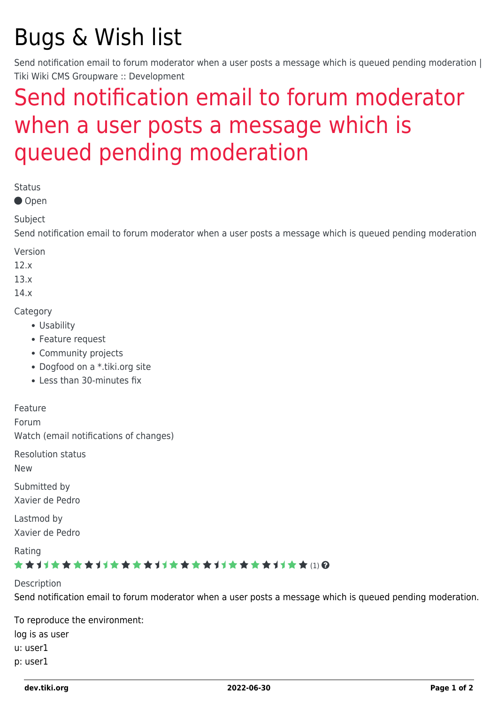# Bugs & Wish list

Send notification email to forum moderator when a user posts a message which is queued pending moderation | Tiki Wiki CMS Groupware :: Development

## [Send notification email to forum moderator](https://dev.tiki.org/item5370--Send-notification-email-to-forum-moderator-when-a-user-posts-a-message-which-is-queued-pending-moderation) [when a user posts a message which is](https://dev.tiki.org/item5370--Send-notification-email-to-forum-moderator-when-a-user-posts-a-message-which-is-queued-pending-moderation) [queued pending moderation](https://dev.tiki.org/item5370--Send-notification-email-to-forum-moderator-when-a-user-posts-a-message-which-is-queued-pending-moderation)

Status

● Open

Subject

Send notification email to forum moderator when a user posts a message which is queued pending moderation

Version

12.x

13.x

14.x

**Category** 

- Usability
- Feature request
- Community projects
- Dogfood on a \*.tiki.org site
- Less than 30-minutes fix

Feature

Forum

Watch (email notifications of changes)

Resolution status

New

Submitted by Xavier de Pedro

Lastmod by Xavier de Pedro

Rating \*\*\*\*\*\*\*\*\*\*\*\*\*\*\*\*\*\*\*\*\*\*\*\*\*\*\*\*\*\*\*

Description Send notification email to forum moderator when a user posts a message which is queued pending moderation.

To reproduce the environment: log is as user u: user1 p: user1